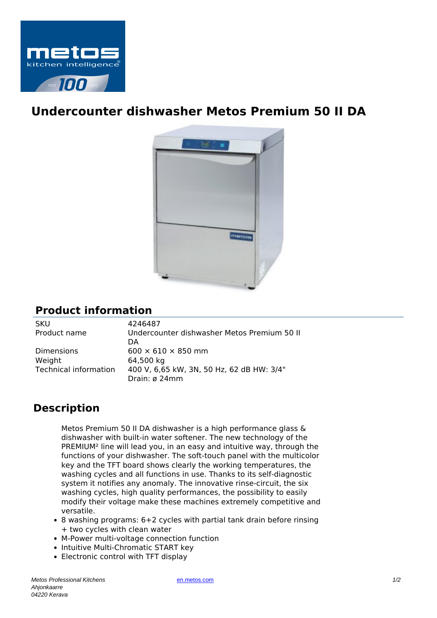

## **Undercounter dishwasher Metos Premium 50 II DA**



## **Product information**

SKU 4246487<br>Product name Undercou Weight 64.500 kg

Undercounter dishwasher Metos Premium 50 II **DA** Dimensions 600  $\times$  610  $\times$  850 mm Technical information 400 V, 6,65 kW, 3N, 50 Hz, 62 dB HW: 3/4" Drain: ø 24mm

## **Description**

Metos Premium 50 II DA dishwasher is a high performance glass & dishwasher with built-in water softener. The new technology of the PREMIUM² line will lead you, in an easy and intuitive way, through the functions of your dishwasher. The soft-touch panel with the multicolor key and the TFT board shows clearly the working temperatures, the washing cycles and all functions in use. Thanks to its self-diagnostic system it notifies any anomaly. The innovative rinse-circuit, the six washing cycles, high quality performances, the possibility to easily modify their voltage make these machines extremely competitive and versatile.

- $\bullet$  8 washing programs: 6+2 cycles with partial tank drain before rinsing + two cycles with clean water
- M-Power multi-voltage connection function
- Intuitive Multi-Chromatic START key
- Electronic control with TFT display